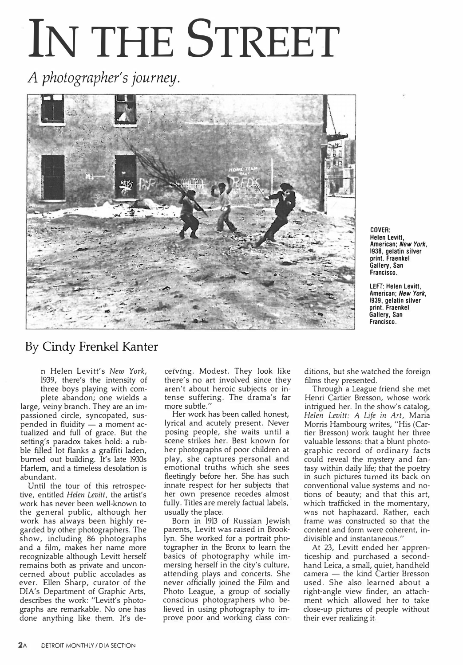## **IN THE STREET**

*A photographer's journey.* 



COVER: **Helen Levitt, American;** *New York,*  **1938, gelatin silver print. Fraenkel Gallery, San Francisco.** 

**LEFT: Helen Levitt, American;** *New York,*  **1939, gelatin silver print. Fraenkel Gallery, San Francisco.** 

## By Cindy Frenkel Kanter

n Helen Levitt's *New York,* 1939, there's the intensity of three boys playing with complete abandon; one wields a large, veiny branch. They are an impassioned circle, syncopated, suspended in fluidity  $-$  a moment actualized and full of grace. But the setting's paradox takes hold: a rubble filled lot flanks a graffiti laden, burned out building. It's late 1930s Harlem, and a timeless desolation is abundant.

Until the tour of this retrospective, entitled *Helen Levitt,* the artist's work has never been well-known to the general public, although her work has always been highly regarded by other photographers. The show, including 86 photographs and a film, makes her name more recognizable although Levitt herself remains both as private and unconcerned about public accolades as ever. Ellen Sharp, curator of the DIA's Department of Graphic Arts, describes the work: "Levitt's photographs are remarkable. No one has done anything like them. It's de-

ceiving. Modest. They look like there's no art involved since they aren't about heroic subjects or intense suffering. The drama's far more subtle."

Her work has been called honest, lyrical and acutely present. Never posing people, she waits until a scene strikes her. Best known for her photographs of poor children at play, she captures personal and emotional truths which she sees fleetingly before her. She has such innate respect for her subjects that her own presence recedes almost fully. Titles are merely factual labels, usually the place.

Born in 1913 of Russian Jewish parents, Levitt was raised in Brooklyn. She worked for a portrait photographer in the Bronx to learn the basics of photography while immersing herself in the city's culture, attending plays and concerts. She never officially joined the Film and Photo League, a group of socially conscious photographers who believed in using photography to improve poor and working class conditions, but she watched the foreign films they presented.

Through a League friend she met Henri Cartier Bresson, whose work intrigued her. In the show's catalog, *Helen Levitt: A Life in Art,* Maria Morris Hambourg writes, "His (Cartier Bresson) work taught her three valuable lessons: that a blunt photographic record of ordinary facts could reveal the mystery and fantasy within daily life; that the poetry in such pictures turned its back on conventional value systems and notions of beauty; and that this art, which trafficked in the momentary, was not haphazard. Rather, each frame was constructed so that the content and form were coherent, indivisible and instantaneous."

At 23, Levitt ended her apprenticeship and purchased a secondhand Leica, a small, quiet, handheld camera - the kind Cartier Bresson used. She also learned about a right-angle view finder, an attachment which allowed her to take close-up pictures of people without their ever realizing it.